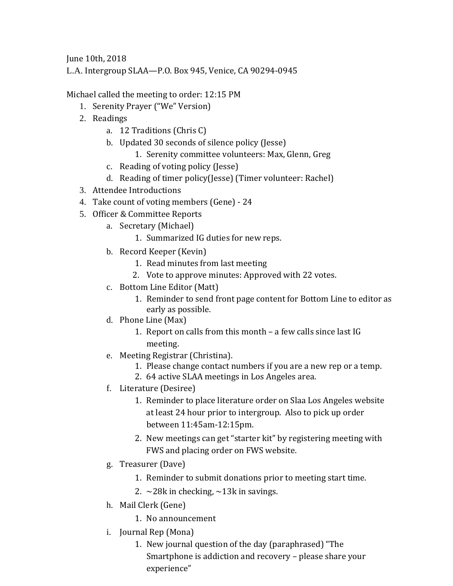June 10th, 2018 L.A. Intergroup SLAA—P.O. Box 945, Venice, CA 90294-0945

Michael called the meeting to order: 12:15 PM

- 1. Serenity Prayer ("We" Version)
- 2. Readings
	- a. 12 Traditions (Chris C)
	- b. Updated 30 seconds of silence policy (Jesse)
		- 1. Serenity committee volunteers: Max, Glenn, Greg
	- c. Reading of voting policy (Jesse)
	- d. Reading of timer policy(Jesse) (Timer volunteer: Rachel)
- 3. Attendee Introductions
- 4. Take count of voting members (Gene) 24
- 5. Officer & Committee Reports
	- a. Secretary (Michael)
		- 1. Summarized IG duties for new reps.
	- b. Record Keeper (Kevin)
		- 1. Read minutes from last meeting
		- 2. Vote to approve minutes: Approved with 22 votes.
	- c. Bottom Line Editor (Matt)
		- 1. Reminder to send front page content for Bottom Line to editor as early as possible.
	- d. Phone Line (Max)
		- 1. Report on calls from this month a few calls since last IG meeting.
	- e. Meeting Registrar (Christina).
		- 1. Please change contact numbers if you are a new rep or a temp.
		- 2. 64 active SLAA meetings in Los Angeles area.
	- f. Literature (Desiree)
		- 1. Reminder to place literature order on Slaa Los Angeles website at least 24 hour prior to intergroup. Also to pick up order between 11:45am-12:15pm.
		- 2. New meetings can get "starter kit" by registering meeting with FWS and placing order on FWS website.
	- g. Treasurer (Dave)
		- 1. Reminder to submit donations prior to meeting start time.
		- 2.  $\sim$ 28k in checking,  $\sim$ 13k in savings.
	- h. Mail Clerk (Gene)
		- 1. No announcement
	- i. Journal Rep (Mona)
		- 1. New journal question of the day (paraphrased) "The Smartphone is addiction and recovery – please share your experience"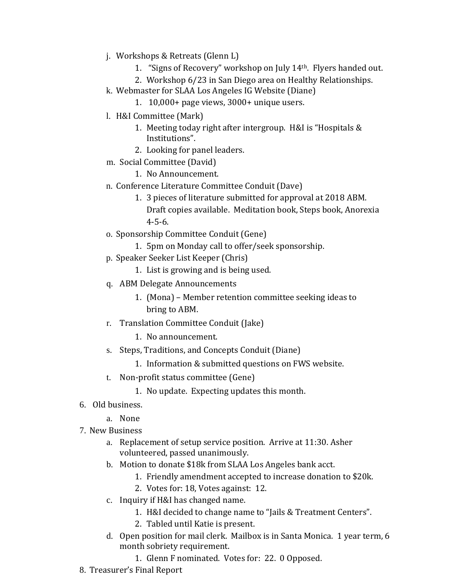- j. Workshops & Retreats (Glenn L)
	- 1. "Signs of Recovery" workshop on July 14th. Flyers handed out.
	- 2. Workshop 6/23 in San Diego area on Healthy Relationships.
- k. Webmaster for SLAA Los Angeles IG Website (Diane)
	- 1. 10,000+ page views, 3000+ unique users.
- l. H&I Committee (Mark)
	- 1. Meeting today right after intergroup. H&I is "Hospitals & Institutions".
	- 2. Looking for panel leaders.
- m. Social Committee (David)
	- 1. No Announcement.
- n. Conference Literature Committee Conduit (Dave)
	- 1. 3 pieces of literature submitted for approval at 2018 ABM. Draft copies available. Meditation book, Steps book, Anorexia 4-5-6.
- o. Sponsorship Committee Conduit (Gene)
	- 1. 5pm on Monday call to offer/seek sponsorship.
- p. Speaker Seeker List Keeper (Chris)
	- 1. List is growing and is being used.
- q. ABM Delegate Announcements
	- 1. (Mona) Member retention committee seeking ideas to bring to ABM.
- r. Translation Committee Conduit (Jake)
	- 1. No announcement.
- s. Steps, Traditions, and Concepts Conduit (Diane)
	- 1. Information & submitted questions on FWS website.
- t. Non-profit status committee (Gene)
	- 1. No update. Expecting updates this month.
- 6. Old business.
	- a. None
- 7. New Business
	- a. Replacement of setup service position. Arrive at 11:30. Asher volunteered, passed unanimously.
	- b. Motion to donate \$18k from SLAA Los Angeles bank acct.
		- 1. Friendly amendment accepted to increase donation to \$20k.
		- 2. Votes for: 18, Votes against: 12.
	- c. Inquiry if H&I has changed name.
		- 1. H&I decided to change name to "Jails & Treatment Centers".
		- 2. Tabled until Katie is present.
	- d. Open position for mail clerk. Mailbox is in Santa Monica. 1 year term, 6 month sobriety requirement.
		- 1. Glenn F nominated. Votes for: 22. 0 Opposed.
- 8. Treasurer's Final Report